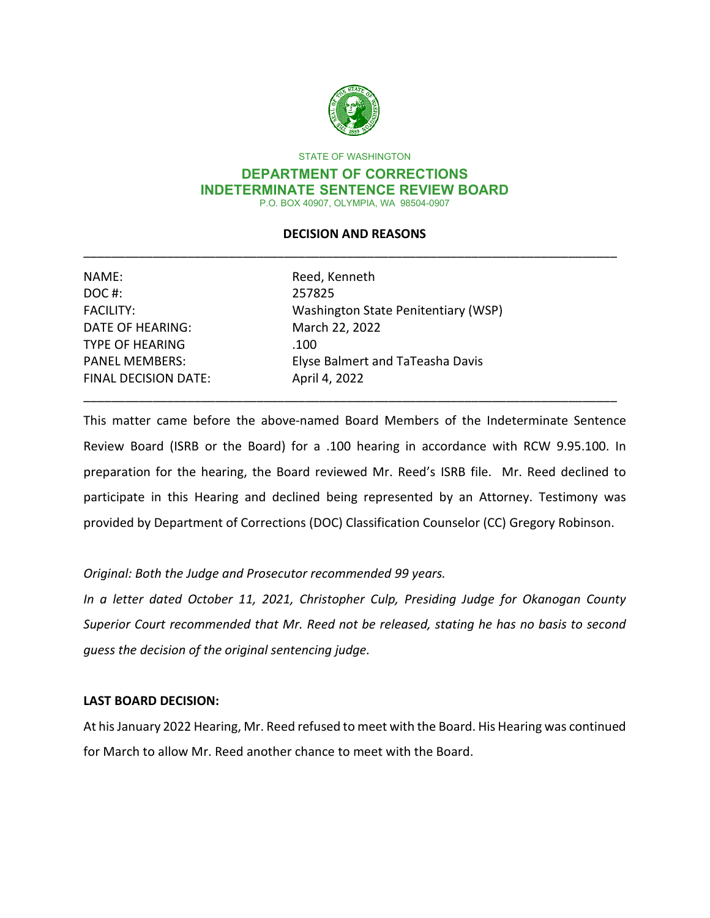

STATE OF WASHINGTON

#### **DEPARTMENT OF CORRECTIONS INDETERMINATE SENTENCE REVIEW BOARD** P.O. BOX 40907, OLYMPIA, WA 98504-0907

## **DECISION AND REASONS** \_\_\_\_\_\_\_\_\_\_\_\_\_\_\_\_\_\_\_\_\_\_\_\_\_\_\_\_\_\_\_\_\_\_\_\_\_\_\_\_\_\_\_\_\_\_\_\_\_\_\_\_\_\_\_\_\_\_\_\_\_\_\_\_\_\_\_\_\_\_\_\_\_\_\_\_\_

| Reed, Kenneth                       |
|-------------------------------------|
| 257825                              |
| Washington State Penitentiary (WSP) |
| March 22, 2022                      |
| .100                                |
| Elyse Balmert and TaTeasha Davis    |
| April 4, 2022                       |
|                                     |

This matter came before the above-named Board Members of the Indeterminate Sentence Review Board (ISRB or the Board) for a .100 hearing in accordance with RCW 9.95.100. In preparation for the hearing, the Board reviewed Mr. Reed's ISRB file. Mr. Reed declined to participate in this Hearing and declined being represented by an Attorney. Testimony was provided by Department of Corrections (DOC) Classification Counselor (CC) Gregory Robinson.

\_\_\_\_\_\_\_\_\_\_\_\_\_\_\_\_\_\_\_\_\_\_\_\_\_\_\_\_\_\_\_\_\_\_\_\_\_\_\_\_\_\_\_\_\_\_\_\_\_\_\_\_\_\_\_\_\_\_\_\_\_\_\_\_\_\_\_\_\_\_\_\_\_\_\_\_\_

## *Original: Both the Judge and Prosecutor recommended 99 years.*

*In a letter dated October 11, 2021, Christopher Culp, Presiding Judge for Okanogan County Superior Court recommended that Mr. Reed not be released, stating he has no basis to second guess the decision of the original sentencing judge.*

## **LAST BOARD DECISION:**

At his January 2022 Hearing, Mr. Reed refused to meet with the Board. His Hearing was continued for March to allow Mr. Reed another chance to meet with the Board.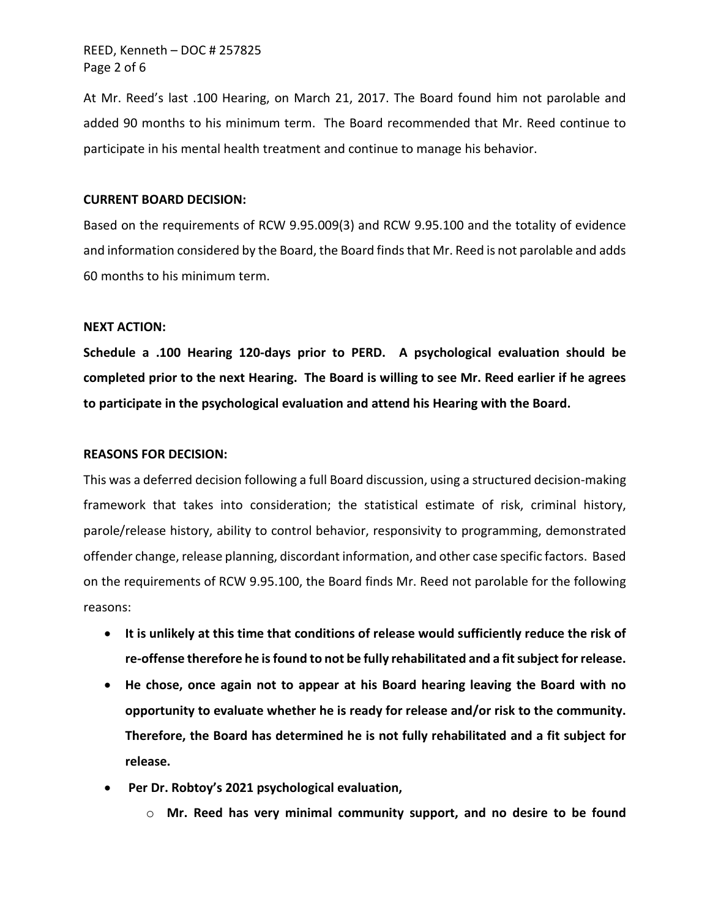At Mr. Reed's last .100 Hearing, on March 21, 2017. The Board found him not parolable and added 90 months to his minimum term. The Board recommended that Mr. Reed continue to participate in his mental health treatment and continue to manage his behavior.

#### **CURRENT BOARD DECISION:**

Based on the requirements of RCW 9.95.009(3) and RCW 9.95.100 and the totality of evidence and information considered by the Board, the Board finds that Mr. Reed is not parolable and adds 60 months to his minimum term.

#### **NEXT ACTION:**

**Schedule a .100 Hearing 120-days prior to PERD. A psychological evaluation should be completed prior to the next Hearing. The Board is willing to see Mr. Reed earlier if he agrees to participate in the psychological evaluation and attend his Hearing with the Board.**

#### **REASONS FOR DECISION:**

This was a deferred decision following a full Board discussion, using a structured decision-making framework that takes into consideration; the statistical estimate of risk, criminal history, parole/release history, ability to control behavior, responsivity to programming, demonstrated offender change, release planning, discordant information, and other case specific factors. Based on the requirements of RCW 9.95.100, the Board finds Mr. Reed not parolable for the following reasons:

- **It is unlikely at this time that conditions of release would sufficiently reduce the risk of re-offense therefore he is found to not be fully rehabilitated and a fit subject for release.**
- **He chose, once again not to appear at his Board hearing leaving the Board with no opportunity to evaluate whether he is ready for release and/or risk to the community. Therefore, the Board has determined he is not fully rehabilitated and a fit subject for release.**
- **Per Dr. Robtoy's 2021 psychological evaluation,** 
	- o **Mr. Reed has very minimal community support, and no desire to be found**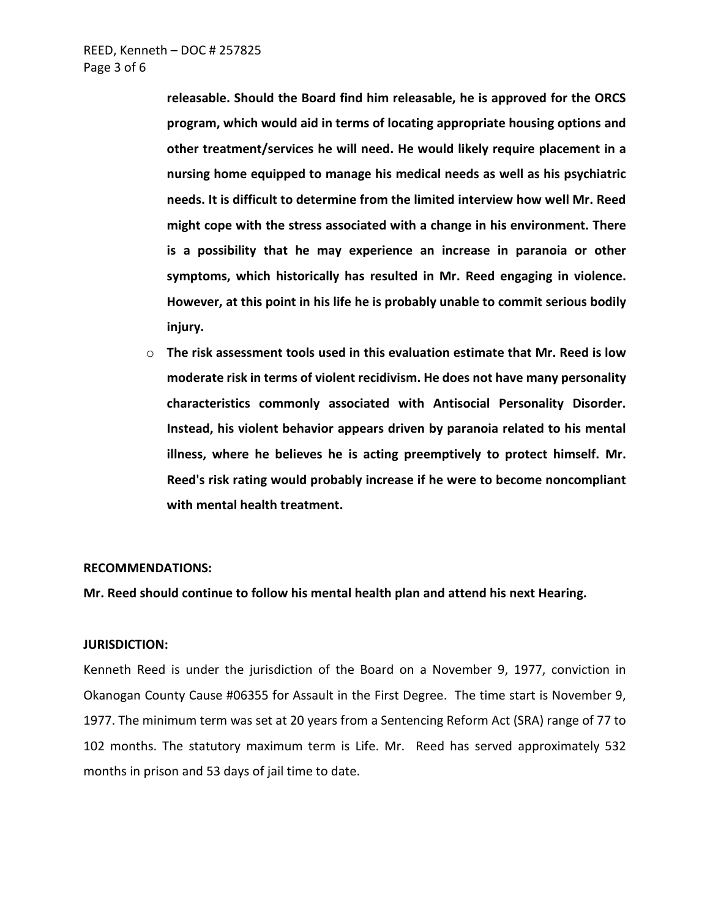**releasable. Should the Board find him releasable, he is approved for the ORCS program, which would aid in terms of locating appropriate housing options and other treatment/services he will need. He would likely require placement in a nursing home equipped to manage his medical needs as well as his psychiatric needs. It is difficult to determine from the limited interview how well Mr. Reed might cope with the stress associated with a change in his environment. There is a possibility that he may experience an increase in paranoia or other symptoms, which historically has resulted in Mr. Reed engaging in violence. However, at this point in his life he is probably unable to commit serious bodily injury.**

o **The risk assessment tools used in this evaluation estimate that Mr. Reed is low moderate risk in terms of violent recidivism. He does not have many personality characteristics commonly associated with Antisocial Personality Disorder. Instead, his violent behavior appears driven by paranoia related to his mental illness, where he believes he is acting preemptively to protect himself. Mr. Reed's risk rating would probably increase if he were to become noncompliant with mental health treatment.**

#### **RECOMMENDATIONS:**

**Mr. Reed should continue to follow his mental health plan and attend his next Hearing.** 

#### **JURISDICTION:**

Kenneth Reed is under the jurisdiction of the Board on a November 9, 1977, conviction in Okanogan County Cause #06355 for Assault in the First Degree. The time start is November 9, 1977. The minimum term was set at 20 years from a Sentencing Reform Act (SRA) range of 77 to 102 months. The statutory maximum term is Life. Mr. Reed has served approximately 532 months in prison and 53 days of jail time to date.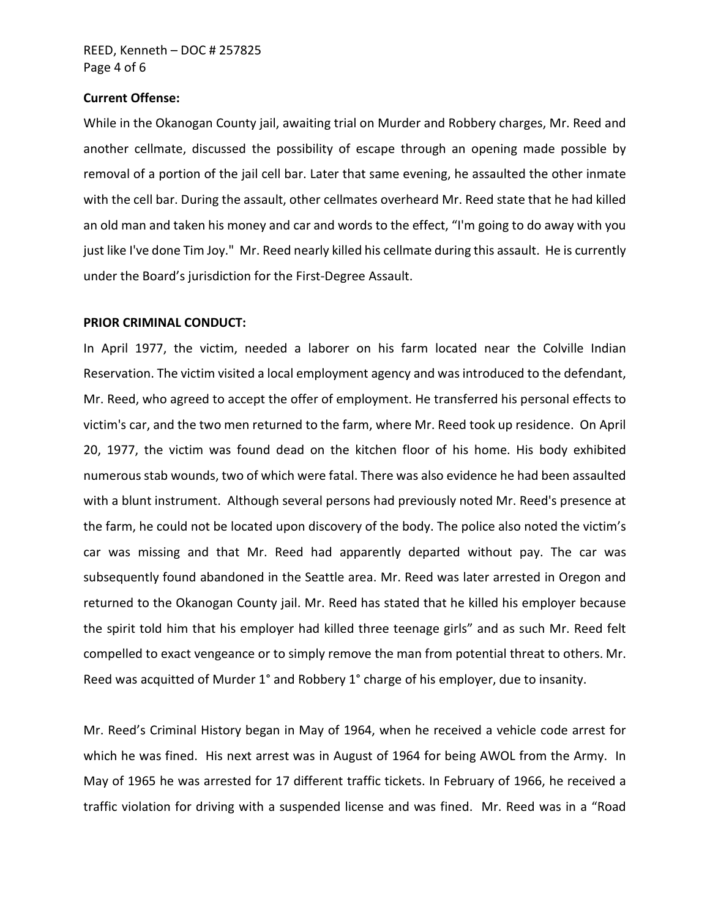#### **Current Offense:**

While in the Okanogan County jail, awaiting trial on Murder and Robbery charges, Mr. Reed and another cellmate, discussed the possibility of escape through an opening made possible by removal of a portion of the jail cell bar. Later that same evening, he assaulted the other inmate with the cell bar. During the assault, other cellmates overheard Mr. Reed state that he had killed an old man and taken his money and car and words to the effect, "I'm going to do away with you just like I've done Tim Joy." Mr. Reed nearly killed his cellmate during this assault. He is currently under the Board's jurisdiction for the First-Degree Assault.

## **PRIOR CRIMINAL CONDUCT:**

In April 1977, the victim, needed a laborer on his farm located near the Colville Indian Reservation. The victim visited a local employment agency and was introduced to the defendant, Mr. Reed, who agreed to accept the offer of employment. He transferred his personal effects to victim's car, and the two men returned to the farm, where Mr. Reed took up residence. On April 20, 1977, the victim was found dead on the kitchen floor of his home. His body exhibited numerous stab wounds, two of which were fatal. There was also evidence he had been assaulted with a blunt instrument. Although several persons had previously noted Mr. Reed's presence at the farm, he could not be located upon discovery of the body. The police also noted the victim's car was missing and that Mr. Reed had apparently departed without pay. The car was subsequently found abandoned in the Seattle area. Mr. Reed was later arrested in Oregon and returned to the Okanogan County jail. Mr. Reed has stated that he killed his employer because the spirit told him that his employer had killed three teenage girls" and as such Mr. Reed felt compelled to exact vengeance or to simply remove the man from potential threat to others. Mr. Reed was acquitted of Murder 1° and Robbery 1° charge of his employer, due to insanity.

Mr. Reed's Criminal History began in May of 1964, when he received a vehicle code arrest for which he was fined. His next arrest was in August of 1964 for being AWOL from the Army. In May of 1965 he was arrested for 17 different traffic tickets. In February of 1966, he received a traffic violation for driving with a suspended license and was fined. Mr. Reed was in a "Road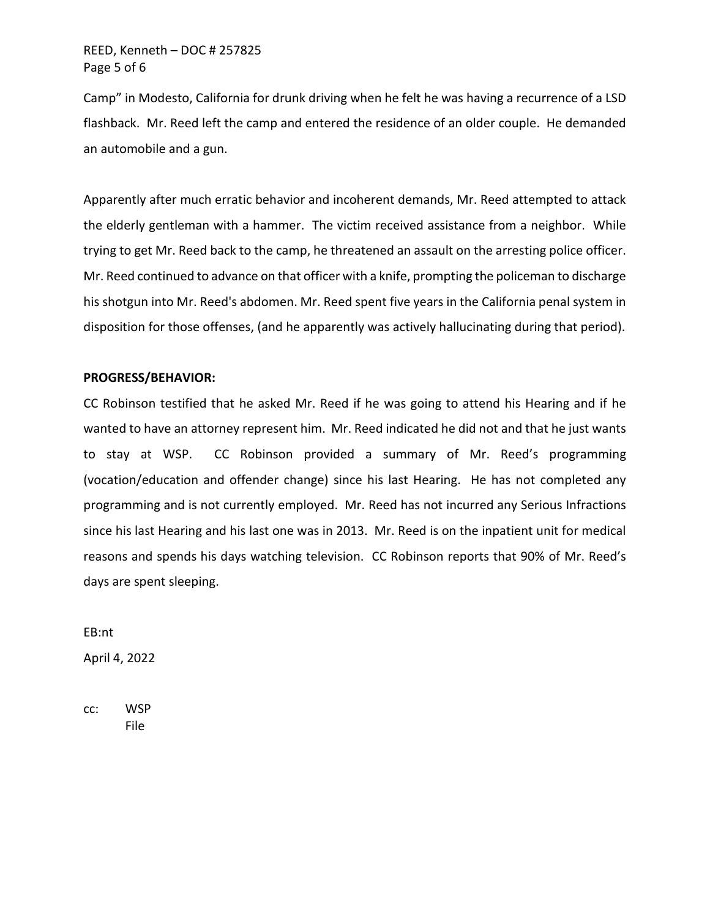Camp" in Modesto, California for drunk driving when he felt he was having a recurrence of a LSD flashback. Mr. Reed left the camp and entered the residence of an older couple. He demanded an automobile and a gun.

Apparently after much erratic behavior and incoherent demands, Mr. Reed attempted to attack the elderly gentleman with a hammer. The victim received assistance from a neighbor. While trying to get Mr. Reed back to the camp, he threatened an assault on the arresting police officer. Mr. Reed continued to advance on that officer with a knife, prompting the policeman to discharge his shotgun into Mr. Reed's abdomen. Mr. Reed spent five years in the California penal system in disposition for those offenses, (and he apparently was actively hallucinating during that period).

## **PROGRESS/BEHAVIOR:**

CC Robinson testified that he asked Mr. Reed if he was going to attend his Hearing and if he wanted to have an attorney represent him. Mr. Reed indicated he did not and that he just wants to stay at WSP. CC Robinson provided a summary of Mr. Reed's programming (vocation/education and offender change) since his last Hearing. He has not completed any programming and is not currently employed. Mr. Reed has not incurred any Serious Infractions since his last Hearing and his last one was in 2013. Mr. Reed is on the inpatient unit for medical reasons and spends his days watching television. CC Robinson reports that 90% of Mr. Reed's days are spent sleeping.

EB:nt April 4, 2022

cc: WSP File